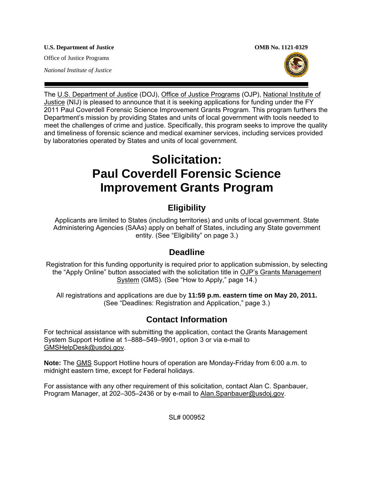**U.S. Department of Justice OMB No. 1121-0329** 

Office of Justice Programs

*National Institute of Justice* 





The [U.S. Department of Justice](http://www.usdoj.gov/) (DOJ), [Office of Justice Programs](http://www.ojp.gov/flash.htm) (OJP), [National Institute of](http://www.ojp.usdoj.gov/nij/)  [Justice](http://www.ojp.usdoj.gov/nij/) (NIJ) is pleased to announce that it is seeking applications for funding under the FY 2011 Paul Coverdell Forensic Science Improvement Grants Program. This program furthers the Department's mission by providing States and units of local government with tools needed to meet the challenges of crime and justice. Specifically, this program seeks to improve the quality and timeliness of forensic science and medical examiner services, including services provided by laboratories operated by States and units of local government.

# **Solicitation: Paul Coverdell Forensic Science Improvement Grants Program**

# **Eligibility**

Applicants are limited to States (including territories) and units of local government. State Administering Agencies (SAAs) apply on behalf of States, including any State government entity. (See "Eligibility" on page 3.)

## **Deadline**

Registration for this funding opportunity is required prior to application submission, by selecting the "Apply Online" button associated with the solicitation title in OJP's Grants Management System (GMS). (See "How to Apply," page 14.)

All registrations and applications are due by **11:59 p.m. eastern time on May 20, 2011.**  (See "Deadlines: Registration and Application," page 3.)

# **Contact Information**

For technical assistance with submitting the application, contact the Grants Management System Support Hotline at 1–888–549–9901, option 3 or via e-mail to [GMSHelpDesk@usdoj.gov.](mailto:GMSHelpDesk@usdoj.gov)

**Note:** The GMS Support Hotline hours of operation are Monday-Friday from 6:00 a.m. to midnight eastern time, except for Federal holidays.

For assistance with any other requirement of this solicitation, contact Alan C. Spanbauer, Program Manager, at 202–305–2436 or by e-mail to [Alan.Spanbauer@usdoj.gov](mailto:Alan.Spanbauer@usdoj.gov).

SL# 000952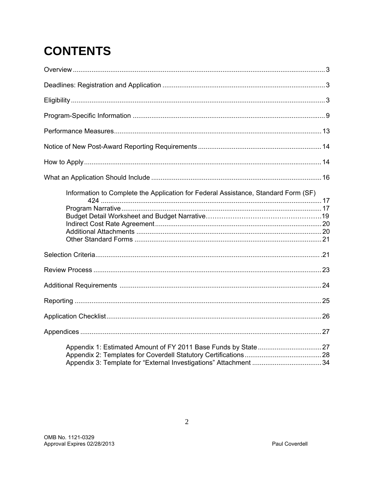# **CONTENTS**

| Information to Complete the Application for Federal Assistance, Standard Form (SF) |  |
|------------------------------------------------------------------------------------|--|
|                                                                                    |  |
|                                                                                    |  |
|                                                                                    |  |
|                                                                                    |  |
|                                                                                    |  |
|                                                                                    |  |
|                                                                                    |  |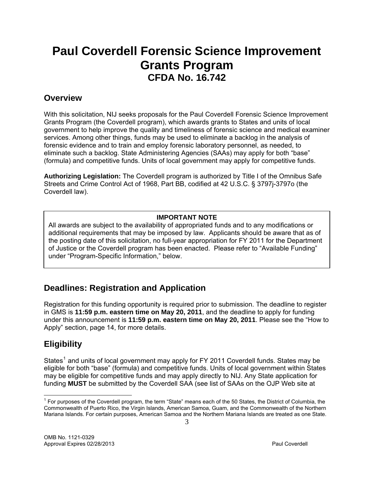# **Paul Coverdell Forensic Science Improvement Grants Program CFDA No. 16.742**

### **Overview**

With this solicitation, NIJ seeks proposals for the Paul Coverdell Forensic Science Improvement Grants Program (the Coverdell program), which awards grants to States and units of local government to help improve the quality and timeliness of forensic science and medical examiner services. Among other things, funds may be used to eliminate a backlog in the analysis of forensic evidence and to train and employ forensic laboratory personnel, as needed, to eliminate such a backlog. State Administering Agencies (SAAs) may apply for both "base" (formula) and competitive funds. Units of local government may apply for competitive funds.

**Authorizing Legislation:** The Coverdell program is authorized by Title I of the Omnibus Safe Streets and Crime Control Act of 1968, Part BB, codified at 42 U.S.C. § 3797j-3797o (the Coverdell law).

#### **IMPORTANT NOTE**

All awards are subject to the availability of appropriated funds and to any modifications or additional requirements that may be imposed by law. Applicants should be aware that as of the posting date of this solicitation, no full-year appropriation for FY 2011 for the Department of Justice or the Coverdell program has been enacted. Please refer to "Available Funding" under "Program-Specific Information," below.

# **Deadlines: Registration and Application**

Registration for this funding opportunity is required prior to submission. The deadline to register in GMS is **11:59 p.m. eastern time on May 20, 2011**, and the deadline to apply for funding under this announcement is **11:59 p.m. eastern time on May 20, 2011**. Please see the "How to Apply" section, page 14, for more details.

# **Eligibility**

States<sup>[1](#page-2-0)</sup> and units of local government may apply for FY 2011 Coverdell funds. States may be eligible for both "base" (formula) and competitive funds. Units of local government within States may be eligible for competitive funds and may apply directly to NIJ. Any State application for funding **MUST** be submitted by the Coverdell SAA (see list of SAAs on the OJP Web site at

<span id="page-2-0"></span> $\overline{a}$ <sup>1</sup> For purposes of the Coverdell program, the term "State" means each of the 50 States, the District of Columbia, the Commonwealth of Puerto Rico, the Virgin Islands, American Samoa, Guam, and the Commonwealth of the Northern Mariana Islands. For certain purposes, American Samoa and the Northern Mariana Islands are treated as one State.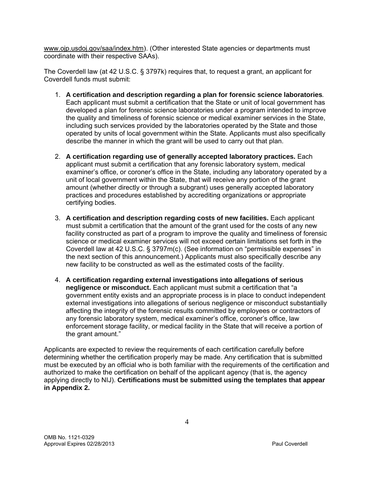[www.ojp.usdoj.gov/saa/index.htm](http://www.ojp.usdoj.gov/saa/index.htm))). (Other interested State agencies or departments must coordinate with their respective SAAs).

The Coverdell law (at 42 U.S.C. § 3797k) requires that, to request a grant, an applicant for Coverdell funds must submit:

- 1. **A certification and description regarding a plan for forensic science laboratories***.* Each applicant must submit a certification that the State or unit of local government has developed a plan for forensic science laboratories under a program intended to improve the quality and timeliness of forensic science or medical examiner services in the State, including such services provided by the laboratories operated by the State and those operated by units of local government within the State. Applicants must also specifically describe the manner in which the grant will be used to carry out that plan.
- 2. **A certification regarding use of generally accepted laboratory practices.** Each applicant must submit a certification that any forensic laboratory system, medical examiner's office, or coroner's office in the State, including any laboratory operated by a unit of local government within the State, that will receive any portion of the grant amount (whether directly or through a subgrant) uses generally accepted laboratory practices and procedures established by accrediting organizations or appropriate certifying bodies.
- 3. **A certification and description regarding costs of new facilities.** Each applicant must submit a certification that the amount of the grant used for the costs of any new facility constructed as part of a program to improve the quality and timeliness of forensic science or medical examiner services will not exceed certain limitations set forth in the Coverdell law at 42 U.S.C. § 3797m(c). (See information on "permissible expenses" in the next section of this announcement.) Applicants must also specifically describe any new facility to be constructed as well as the estimated costs of the facility.
- 4. **A certification regarding external investigations into allegations of serious negligence or misconduct.** Each applicant must submit a certification that "a government entity exists and an appropriate process is in place to conduct independent external investigations into allegations of serious negligence or misconduct substantially affecting the integrity of the forensic results committed by employees or contractors of any forensic laboratory system, medical examiner's office, coroner's office, law enforcement storage facility, or medical facility in the State that will receive a portion of the grant amount."

Applicants are expected to review the requirements of each certification carefully before determining whether the certification properly may be made. Any certification that is submitted must be executed by an official who is both familiar with the requirements of the certification and authorized to make the certification on behalf of the applicant agency (that is, the agency applying directly to NIJ). **Certifications must be submitted using the templates that appear in Appendix 2.**

OMB No. 1121-0329 Approval Expires 02/28/2013 **Paul Coverdell** Approval Expires 02/28/2013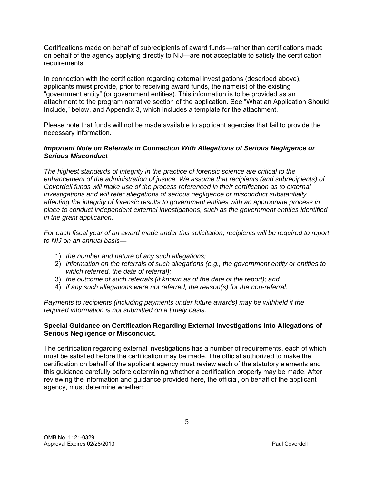Certifications made on behalf of subrecipients of award funds—rather than certifications made on behalf of the agency applying directly to NIJ—are **not** acceptable to satisfy the certification requirements.

In connection with the certification regarding external investigations (described above), applicants **must** provide, prior to receiving award funds, the name(s) of the existing "government entity" (or government entities). This information is to be provided as an attachment to the program narrative section of the application. See "What an Application Should Include," below, and Appendix 3, which includes a template for the attachment.

Please note that funds will not be made available to applicant agencies that fail to provide the necessary information.

#### *Important Note on Referrals in Connection With Allegations of Serious Negligence or Serious Misconduct*

*The highest standards of integrity in the practice of forensic science are critical to the enhancement of the administration of justice. We assume that recipients (and subrecipients) of Coverdell funds will make use of the process referenced in their certification as to external investigations and will refer allegations of serious negligence or misconduct substantially affecting the integrity of forensic results to government entities with an appropriate process in place to conduct independent external investigations, such as the government entities identified in the grant application.* 

*For each fiscal year of an award made under this solicitation, recipients will be required to report to NIJ on an annual basis—* 

- 1) *the number and nature of any such allegations;*
- 2) *information on the referrals of such allegations (e.g., the government entity or entities to which referred, the date of referral);*
- 3) *the outcome of such referrals (if known as of the date of the report); and*
- 4) *if any such allegations were not referred, the reason(s) for the non-referral.*

*Payments to recipients (including payments under future awards) may be withheld if the required information is not submitted on a timely basis.*

#### **Special Guidance on Certification Regarding External Investigations Into Allegations of Serious Negligence or Misconduct.**

The certification regarding external investigations has a number of requirements, each of which must be satisfied before the certification may be made. The official authorized to make the certification on behalf of the applicant agency must review each of the statutory elements and this guidance carefully before determining whether a certification properly may be made. After reviewing the information and guidance provided here, the official, on behalf of the applicant agency, must determine whether: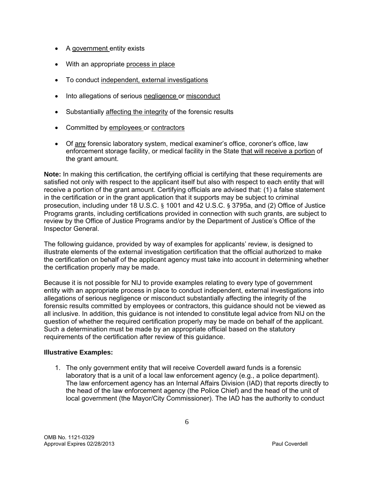- A government entity exists
- With an appropriate process in place
- To conduct independent, external investigations
- Into allegations of serious negligence or misconduct
- Substantially affecting the integrity of the forensic results
- Committed by employees or contractors
- Of any forensic laboratory system, medical examiner's office, coroner's office, law enforcement storage facility, or medical facility in the State that will receive a portion of the grant amount.

**Note:** In making this certification, the certifying official is certifying that these requirements are satisfied not only with respect to the applicant itself but also with respect to each entity that will receive a portion of the grant amount. Certifying officials are advised that: (1) a false statement in the certification or in the grant application that it supports may be subject to criminal prosecution, including under 18 U.S.C. § 1001 and 42 U.S.C. § 3795a, and (2) Office of Justice Programs grants, including certifications provided in connection with such grants, are subject to review by the Office of Justice Programs and/or by the Department of Justice's Office of the Inspector General.

The following guidance, provided by way of examples for applicants' review, is designed to illustrate elements of the external investigation certification that the official authorized to make the certification on behalf of the applicant agency must take into account in determining whether the certification properly may be made.

Because it is not possible for NIJ to provide examples relating to every type of government entity with an appropriate process in place to conduct independent, external investigations into allegations of serious negligence or misconduct substantially affecting the integrity of the forensic results committed by employees or contractors, this guidance should not be viewed as all inclusive. In addition, this guidance is not intended to constitute legal advice from NIJ on the question of whether the required certification properly may be made on behalf of the applicant. Such a determination must be made by an appropriate official based on the statutory requirements of the certification after review of this guidance.

#### **Illustrative Examples:**

1. The only government entity that will receive Coverdell award funds is a forensic laboratory that is a unit of a local law enforcement agency (e.g., a police department). The law enforcement agency has an Internal Affairs Division (IAD) that reports directly to the head of the law enforcement agency (the Police Chief) and the head of the unit of local government (the Mayor/City Commissioner). The IAD has the authority to conduct

OMB No. 1121-0329 Approval Expires 02/28/2013 **Paul Coverdell** Approval Expires 02/28/2013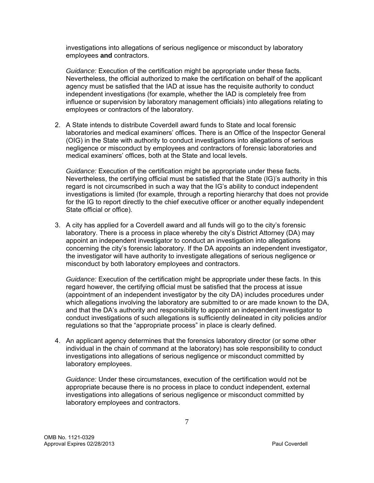investigations into allegations of serious negligence or misconduct by laboratory employees **and** contractors.

*Guidance:* Execution of the certification might be appropriate under these facts. Nevertheless, the official authorized to make the certification on behalf of the applicant agency must be satisfied that the IAD at issue has the requisite authority to conduct independent investigations (for example, whether the IAD is completely free from influence or supervision by laboratory management officials) into allegations relating to employees or contractors of the laboratory.

2. A State intends to distribute Coverdell award funds to State and local forensic laboratories and medical examiners' offices. There is an Office of the Inspector General (OIG) in the State with authority to conduct investigations into allegations of serious negligence or misconduct by employees and contractors of forensic laboratories and medical examiners' offices, both at the State and local levels.

*Guidance:* Execution of the certification might be appropriate under these facts. Nevertheless, the certifying official must be satisfied that the State (IG)'s authority in this regard is not circumscribed in such a way that the IG's ability to conduct independent investigations is limited (for example, through a reporting hierarchy that does not provide for the IG to report directly to the chief executive officer or another equally independent State official or office).

3. A city has applied for a Coverdell award and all funds will go to the city's forensic laboratory. There is a process in place whereby the city's District Attorney (DA) may appoint an independent investigator to conduct an investigation into allegations concerning the city's forensic laboratory. If the DA appoints an independent investigator, the investigator will have authority to investigate allegations of serious negligence or misconduct by both laboratory employees and contractors.

 *Guidance:* Execution of the certification might be appropriate under these facts. In this regard however, the certifying official must be satisfied that the process at issue (appointment of an independent investigator by the city DA) includes procedures under which allegations involving the laboratory are submitted to or are made known to the DA, and that the DA's authority and responsibility to appoint an independent investigator to conduct investigations of such allegations is sufficiently delineated in city policies and/or regulations so that the "appropriate process" in place is clearly defined.

4. An applicant agency determines that the forensics laboratory director (or some other individual in the chain of command at the laboratory) has sole responsibility to conduct investigations into allegations of serious negligence or misconduct committed by laboratory employees.

*Guidance:* Under these circumstances, execution of the certification would not be appropriate because there is no process in place to conduct independent, external investigations into allegations of serious negligence or misconduct committed by laboratory employees and contractors.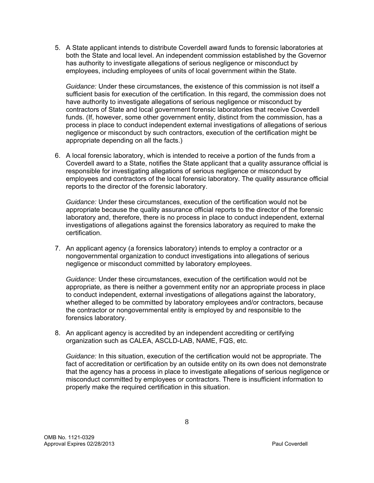5. A State applicant intends to distribute Coverdell award funds to forensic laboratories at both the State and local level. An independent commission established by the Governor has authority to investigate allegations of serious negligence or misconduct by employees, including employees of units of local government within the State.

*Guidance:* Under these circumstances, the existence of this commission is not itself a sufficient basis for execution of the certification. In this regard, the commission does not have authority to investigate allegations of serious negligence or misconduct by contractors of State and local government forensic laboratories that receive Coverdell funds. (If, however, some other government entity, distinct from the commission, has a process in place to conduct independent external investigations of allegations of serious negligence or misconduct by such contractors, execution of the certification might be appropriate depending on all the facts.)

6. A local forensic laboratory, which is intended to receive a portion of the funds from a Coverdell award to a State, notifies the State applicant that a quality assurance official is responsible for investigating allegations of serious negligence or misconduct by employees and contractors of the local forensic laboratory. The quality assurance official reports to the director of the forensic laboratory.

*Guidance:* Under these circumstances, execution of the certification would not be appropriate because the quality assurance official reports to the director of the forensic laboratory and, therefore, there is no process in place to conduct independent, external investigations of allegations against the forensics laboratory as required to make the certification.

7. An applicant agency (a forensics laboratory) intends to employ a contractor or a nongovernmental organization to conduct investigations into allegations of serious negligence or misconduct committed by laboratory employees.

*Guidance:* Under these circumstances, execution of the certification would not be appropriate, as there is neither a government entity nor an appropriate process in place to conduct independent, external investigations of allegations against the laboratory, whether alleged to be committed by laboratory employees and/or contractors, because the contractor or nongovernmental entity is employed by and responsible to the forensics laboratory.

8. An applicant agency is accredited by an independent accrediting or certifying organization such as CALEA, ASCLD-LAB, NAME, FQS, etc.

*Guidance:* In this situation, execution of the certification would not be appropriate. The fact of accreditation or certification by an outside entity on its own does not demonstrate that the agency has a process in place to investigate allegations of serious negligence or misconduct committed by employees or contractors. There is insufficient information to properly make the required certification in this situation.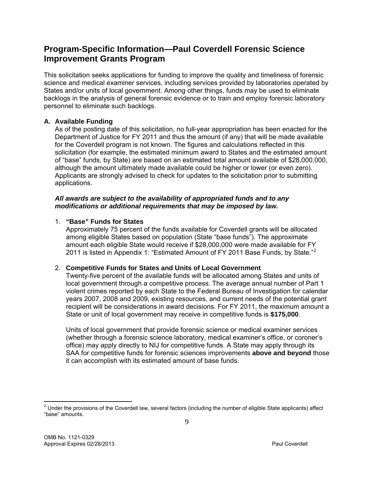## **Program-Specific Information—Paul Coverdell Forensic Science Improvement Grants Program**

This solicitation seeks applications for funding to improve the quality and timeliness of forensic science and medical examiner services, including services provided by laboratories operated by States and/or units of local government. Among other things, funds may be used to eliminate backlogs in the analysis of general forensic evidence or to train and employ forensic laboratory personnel to eliminate such backlogs.

#### **A. Available Funding**

As of the posting date of this solicitation, no full-year appropriation has been enacted for the Department of Justice for FY 2011 and thus the amount (if any) that will be made available for the Coverdell program is not known. The figures and calculations reflected in this solicitation (for example, the estimated minimum award to States and the estimated amount of "base" funds, by State) are based on an estimated total amount available of \$28,000,000, although the amount ultimately made available could be higher or lower (or even zero). Applicants are strongly advised to check for updates to the solicitation prior to submitting applications.

#### *All awards are subject to the availability of appropriated funds and to any modifications or additional requirements that may be imposed by law.*

#### 1. **"Base" Funds for States**

Approximately 75 percent of the funds available for Coverdell grants will be allocated among eligible States based on population (State "base funds"). The approximate amount each eligible State would receive if \$28,000,000 were made available for FY [2](#page-8-0)011 is listed in Appendix 1: "Estimated Amount of FY 2011 Base Funds, by State."<sup>2</sup>

#### 2. **Competitive Funds for States and Units of Local Government**

Twenty-five percent of the available funds will be allocated among States and units of local government through a competitive process. The average annual number of Part 1 violent crimes reported by each State to the Federal Bureau of Investigation for calendar years 2007, 2008 and 2009, existing resources, and current needs of the potential grant recipient will be considerations in award decisions. For FY 2011, the maximum amount a State or unit of local government may receive in competitive funds is **\$175,000**.

Units of local government that provide forensic science or medical examiner services (whether through a forensic science laboratory, medical examiner's office, or coroner's office) may apply directly to NIJ for competitive funds. A State may apply through its SAA for competitive funds for forensic sciences improvements **above and beyond** those it can accomplish with its estimated amount of base funds.

<span id="page-8-0"></span> 2 Under the provisions of the Coverdell law, several factors (including the number of eligible State applicants) affect "base" amounts.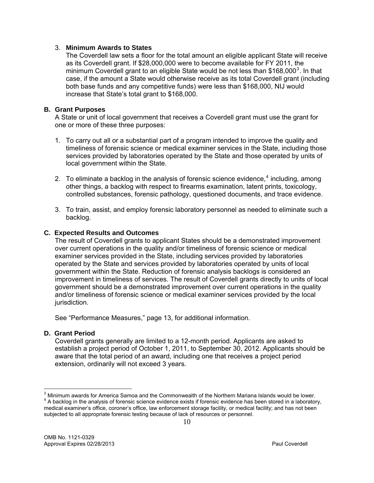#### 3. **Minimum Awards to States**

The Coverdell law sets a floor for the total amount an eligible applicant State will receive as its Coverdell grant. If \$28,000,000 were to become available for FY 2011, the minimum Coverdell grant to an eligible State would be not less than \$168,000 $^3$  $^3$ . In that case, if the amount a State would otherwise receive as its total Coverdell grant (including both base funds and any competitive funds) were less than \$168,000, NIJ would increase that State's total grant to \$168,000.

#### **B. Grant Purposes**

A State or unit of local government that receives a Coverdell grant must use the grant for one or more of these three purposes:

- 1. To carry out all or a substantial part of a program intended to improve the quality and timeliness of forensic science or medical examiner services in the State, including those services provided by laboratories operated by the State and those operated by units of local government within the State.
- 2. To eliminate a backlog in the analysis of forensic science evidence, $4$  including, among other things, a backlog with respect to firearms examination, latent prints, toxicology, controlled substances, forensic pathology, questioned documents, and trace evidence.
- 3. To train, assist, and employ forensic laboratory personnel as needed to eliminate such a backlog.

#### **C. Expected Results and Outcomes**

The result of Coverdell grants to applicant States should be a demonstrated improvement over current operations in the quality and/or timeliness of forensic science or medical examiner services provided in the State, including services provided by laboratories operated by the State and services provided by laboratories operated by units of local government within the State. Reduction of forensic analysis backlogs is considered an improvement in timeliness of services. The result of Coverdell grants directly to units of local government should be a demonstrated improvement over current operations in the quality and/or timeliness of forensic science or medical examiner services provided by the local jurisdiction.

See "Performance Measures," page 13, for additional information.

#### **D. Grant Period**

Coverdell grants generally are limited to a 12-month period. Applicants are asked to establish a project period of October 1, 2011, to September 30, 2012. Applicants should be aware that the total period of an award, including one that receives a project period extension, ordinarily will not exceed 3 years.

<span id="page-9-1"></span><span id="page-9-0"></span> $\overline{a}$  $3$  Minimum awards for America Samoa and the Commonwealth of the Northern Mariana Islands would be lower. <sup>4</sup> A backlog in the analysis of forensic science evidence exists if forensic evidence has been stored in a laboratory, medical examiner's office, coroner's office, law enforcement storage facility, or medical facility; and has not been subjected to all appropriate forensic testing because of lack of resources or personnel.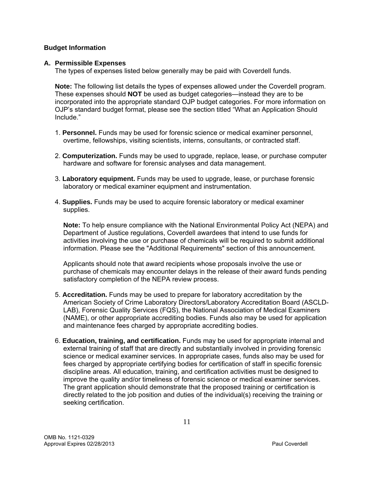#### **Budget Information**

#### **A. Permissible Expenses**

The types of expenses listed below generally may be paid with Coverdell funds.

**Note:** The following list details the types of expenses allowed under the Coverdell program. These expenses should **NOT** be used as budget categories—instead they are to be incorporated into the appropriate standard OJP budget categories. For more information on OJP's standard budget format, please see the section titled "What an Application Should Include."

- 1. **Personnel.** Funds may be used for forensic science or medical examiner personnel, overtime, fellowships, visiting scientists, interns, consultants, or contracted staff.
- 2. **Computerization.** Funds may be used to upgrade, replace, lease, or purchase computer hardware and software for forensic analyses and data management.
- 3. **Laboratory equipment.** Funds may be used to upgrade, lease, or purchase forensic laboratory or medical examiner equipment and instrumentation.
- 4. **Supplies.** Funds may be used to acquire forensic laboratory or medical examiner supplies.

**Note:** To help ensure compliance with the National Environmental Policy Act (NEPA) and Department of Justice regulations, Coverdell awardees that intend to use funds for activities involving the use or purchase of chemicals will be required to submit additional information. Please see the "Additional Requirements" section of this announcement.

Applicants should note that award recipients whose proposals involve the use or purchase of chemicals may encounter delays in the release of their award funds pending satisfactory completion of the NEPA review process.

- 5. **Accreditation.** Funds may be used to prepare for laboratory accreditation by the American Society of Crime Laboratory Directors/Laboratory Accreditation Board (ASCLD-LAB), Forensic Quality Services (FQS), the National Association of Medical Examiners (NAME), or other appropriate accrediting bodies. Funds also may be used for application and maintenance fees charged by appropriate accrediting bodies.
- 6. **Education, training, and certification.** Funds may be used for appropriate internal and external training of staff that are directly and substantially involved in providing forensic science or medical examiner services. In appropriate cases, funds also may be used for fees charged by appropriate certifying bodies for certification of staff in specific forensic discipline areas. All education, training, and certification activities must be designed to improve the quality and/or timeliness of forensic science or medical examiner services. The grant application should demonstrate that the proposed training or certification is directly related to the job position and duties of the individual(s) receiving the training or seeking certification.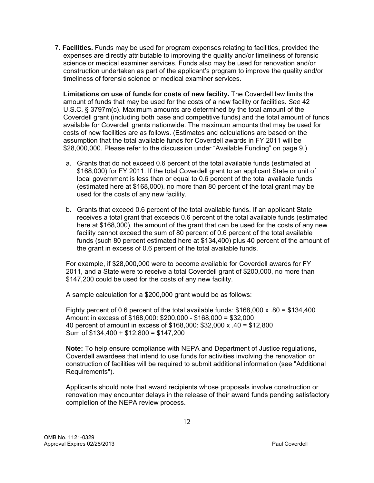7. **Facilities.** Funds may be used for program expenses relating to facilities, provided the expenses are directly attributable to improving the quality and/or timeliness of forensic science or medical examiner services. Funds also may be used for renovation and/or construction undertaken as part of the applicant's program to improve the quality and/or timeliness of forensic science or medical examiner services.

**Limitations on use of funds for costs of new facility.** The Coverdell law limits the amount of funds that may be used for the costs of a new facility or facilities. *See* 42 U.S.C. § 3797m(c). Maximum amounts are determined by the total amount of the Coverdell grant (including both base and competitive funds) and the total amount of funds available for Coverdell grants nationwide. The maximum amounts that may be used for costs of new facilities are as follows. (Estimates and calculations are based on the assumption that the total available funds for Coverdell awards in FY 2011 will be \$28,000,000. Please refer to the discussion under "Available Funding" on page 9.)

- a. Grants that do not exceed 0.6 percent of the total available funds (estimated at \$168,000) for FY 2011. If the total Coverdell grant to an applicant State or unit of local government is less than or equal to 0.6 percent of the total available funds (estimated here at \$168,000), no more than 80 percent of the total grant may be used for the costs of any new facility.
- b. Grants that exceed 0.6 percent of the total available funds. If an applicant State receives a total grant that exceeds 0.6 percent of the total available funds (estimated here at \$168,000), the amount of the grant that can be used for the costs of any new facility cannot exceed the sum of 80 percent of 0.6 percent of the total available funds (such 80 percent estimated here at \$134,400) plus 40 percent of the amount of the grant in excess of 0.6 percent of the total available funds.

For example, if \$28,000,000 were to become available for Coverdell awards for FY 2011, and a State were to receive a total Coverdell grant of \$200,000, no more than \$147,200 could be used for the costs of any new facility.

A sample calculation for a \$200,000 grant would be as follows:

Eighty percent of 0.6 percent of the total available funds:  $$168,000 \times .80 = $134,400$ Amount in excess of \$168,000: \$200,000 - \$168,000 = \$32,000 40 percent of amount in excess of \$168,000: \$32,000 x .40 = \$12,800 Sum of \$134,400 + \$12,800 = \$147,200

**Note:** To help ensure compliance with NEPA and Department of Justice regulations, Coverdell awardees that intend to use funds for activities involving the renovation or construction of facilities will be required to submit additional information (see "Additional Requirements").

Applicants should note that award recipients whose proposals involve construction or renovation may encounter delays in the release of their award funds pending satisfactory completion of the NEPA review process.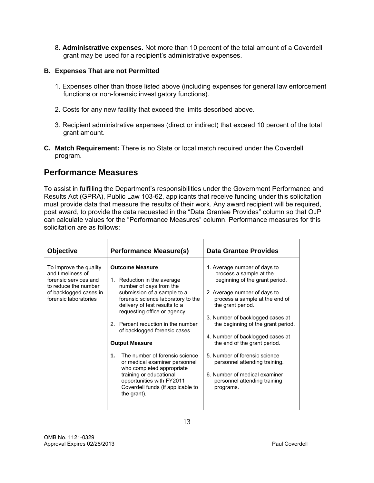8. **Administrative expenses.** Not more than 10 percent of the total amount of a Coverdell grant may be used for a recipient's administrative expenses.

#### **B. Expenses That are not Permitted**

- 1. Expenses other than those listed above (including expenses for general law enforcement functions or non-forensic investigatory functions).
- 2. Costs for any new facility that exceed the limits described above.
- 3. Recipient administrative expenses (direct or indirect) that exceed 10 percent of the total grant amount.
- **C. Match Requirement:** There is no State or local match required under the Coverdell program.

### **Performance Measures**

To assist in fulfilling the Department's responsibilities under the Government Performance and Results Act (GPRA), Public Law 103-62, applicants that receive funding under this solicitation must provide data that measure the results of their work. Any award recipient will be required, post award, to provide the data requested in the "Data Grantee Provides" column so that OJP can calculate values for the "Performance Measures" column. Performance measures for this solicitation are as follows:

| <b>Objective</b>                                                                                                                                | <b>Performance Measure(s)</b>                                                                                                                                                                                                                                                                                          | Data Grantee Provides                                                                                                                                                                                                                                                                                                          |  |
|-------------------------------------------------------------------------------------------------------------------------------------------------|------------------------------------------------------------------------------------------------------------------------------------------------------------------------------------------------------------------------------------------------------------------------------------------------------------------------|--------------------------------------------------------------------------------------------------------------------------------------------------------------------------------------------------------------------------------------------------------------------------------------------------------------------------------|--|
| To improve the quality<br>and timeliness of<br>forensic services and<br>to reduce the number<br>of backlogged cases in<br>forensic laboratories | <b>Outcome Measure</b><br>1. Reduction in the average<br>number of days from the<br>submission of a sample to a<br>forensic science laboratory to the<br>delivery of test results to a<br>requesting office or agency.<br>2. Percent reduction in the number<br>of backlogged forensic cases.<br><b>Output Measure</b> | 1. Average number of days to<br>process a sample at the<br>beginning of the grant period.<br>2. Average number of days to<br>process a sample at the end of<br>the grant period.<br>3. Number of backlogged cases at<br>the beginning of the grant period.<br>4. Number of backlogged cases at<br>the end of the grant period. |  |
|                                                                                                                                                 | The number of forensic science<br>1.<br>or medical examiner personnel<br>who completed appropriate<br>training or educational<br>opportunities with FY2011<br>Coverdell funds (if applicable to<br>the grant).                                                                                                         | 5. Number of forensic science<br>personnel attending training.<br>6. Number of medical examiner<br>personnel attending training<br>programs.                                                                                                                                                                                   |  |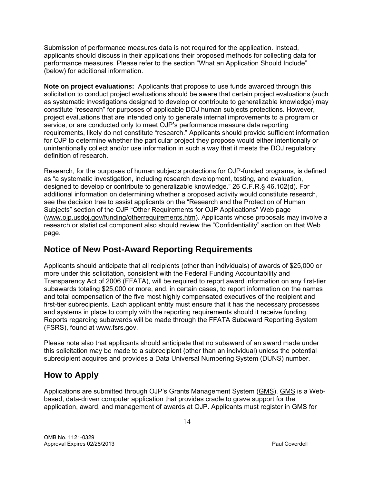Submission of performance measures data is not required for the application. Instead, applicants should discuss in their applications their proposed methods for collecting data for performance measures. Please refer to the section "What an Application Should Include" (below) for additional information.

**Note on project evaluations:** Applicants that propose to use funds awarded through this solicitation to conduct project evaluations should be aware that certain project evaluations (such as systematic investigations designed to develop or contribute to generalizable knowledge) may constitute "research" for purposes of applicable DOJ human subjects protections. However, project evaluations that are intended only to generate internal improvements to a program or service, or are conducted only to meet OJP's performance measure data reporting requirements, likely do not constitute "research." Applicants should provide sufficient information for OJP to determine whether the particular project they propose would either intentionally or unintentionally collect and/or use information in such a way that it meets the DOJ regulatory definition of research.

Research, for the purposes of human subjects protections for OJP-funded programs, is defined as "a systematic investigation, including research development, testing, and evaluation, designed to develop or contribute to generalizable knowledge." 26 C.F.R.§ 46.102(d). For additional information on determining whether a proposed activity would constitute research, see the decision tree to assist applicants on the "Research and the Protection of Human Subjects" section of the OJP "Other Requirements for OJP Applications" Web page ([www.ojp.usdoj.gov/funding/otherrequirements.htm](http://www.ojp.usdoj.gov/funding/otherrequirements.htm)). Applicants whose proposals may involve a research or statistical component also should review the "Confidentiality" section on that Web page.

## **Notice of New Post-Award Reporting Requirements**

Applicants should anticipate that all recipients (other than individuals) of awards of \$25,000 or more under this solicitation, consistent with the Federal Funding Accountability and Transparency Act of 2006 (FFATA), will be required to report award information on any first-tier subawards totaling \$25,000 or more, and, in certain cases, to report information on the names and total compensation of the five most highly compensated executives of the recipient and first-tier subrecipients. Each applicant entity must ensure that it has the necessary processes and systems in place to comply with the reporting requirements should it receive funding. Reports regarding subawards will be made through the FFATA Subaward Reporting System (FSRS), found at www.fsrs.gov.

Please note also that applicants should anticipate that no subaward of an award made under this solicitation may be made to a subrecipient (other than an individual) unless the potential subrecipient acquires and provides a Data Universal Numbering System (DUNS) number.

# **How to Apply**

Applications are submitted through OJP's Grants Management System ([GMS\)](https://grants.ojp.usdoj.gov/gmsexternal/). GMS is a Webbased, data-driven computer application that provides cradle to grave support for the application, award, and management of awards at OJP. Applicants must register in GMS for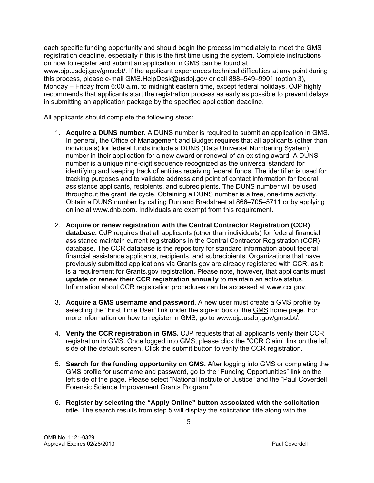each specific funding opportunity and should begin the process immediately to meet the GMS registration deadline, especially if this is the first time using the system. Complete instructions on how to register and submit an application in GMS can be found at [www.ojp.usdoj.gov/gmscbt/](http://www.ojp.usdoj.gov/gmscbt/). If the applicant experiences technical difficulties at any point during this process, please e-mail [GMS.HelpDesk@usdoj.gov](mailto:GMS.HelpDesk@usdoj.gov) or call 888–549–9901 (option 3), Monday – Friday from 6:00 a.m. to midnight eastern time, except federal holidays. OJP highly recommends that applicants start the registration process as early as possible to prevent delays in submitting an application package by the specified application deadline.

All applicants should complete the following steps:

- 1. **Acquire a DUNS number.** A DUNS number is required to submit an application in GMS. In general, the Office of Management and Budget requires that all applicants (other than individuals) for federal funds include a DUNS (Data Universal Numbering System) number in their application for a new award or renewal of an existing award. A DUNS number is a unique nine-digit sequence recognized as the universal standard for identifying and keeping track of entities receiving federal funds. The identifier is used for tracking purposes and to validate address and point of contact information for federal assistance applicants, recipients, and subrecipients. The DUNS number will be used throughout the grant life cycle. Obtaining a DUNS number is a free, one-time activity. Obtain a DUNS number by calling Dun and Bradstreet at 866–705–5711 or by applying online at www.dnb.com. Individuals are exempt from this requirement.
- 2. **Acquire or renew registration with the Central Contractor Registration (CCR) database.** OJP requires that all applicants (other than individuals) for federal financial assistance maintain current registrations in the Central Contractor Registration (CCR) database. The CCR database is the repository for standard information about federal financial assistance applicants, recipients, and subrecipients. Organizations that have previously submitted applications via Grants.gov are already registered with CCR, as it is a requirement for Grants.gov registration. Please note, however, that applicants must **update or renew their CCR registration annually** to maintain an active status. Information about CCR registration procedures can be accessed at [www.ccr.gov](http://www.ccr.gov/).
- 3. **Acquire a GMS username and password**. A new user must create a GMS profile by selecting the "First Time User" link under the sign-in box of the [GMS](https://grants.ojp.usdoj.gov/gmsexternal/login.do) home page. For more information on how to register in GMS, go to [www.ojp.usdoj.gov/gmscbt/.](http://www.ojp.usdoj.gov/gmscbt/)
- 4. **Verify the CCR registration in GMS.** OJP requests that all applicants verify their CCR registration in GMS. Once logged into GMS, please click the "CCR Claim" link on the left side of the default screen. Click the submit button to verify the CCR registration.
- 5. **Search for the funding opportunity on GMS.** After logging into GMS or completing the GMS profile for username and password, go to the "Funding Opportunities" link on the left side of the page. Please select "National Institute of Justice" and the "Paul Coverdell Forensic Science Improvement Grants Program."
- 6. **Register by selecting the "Apply Online" button associated with the solicitation title.** The search results from step 5 will display the solicitation title along with the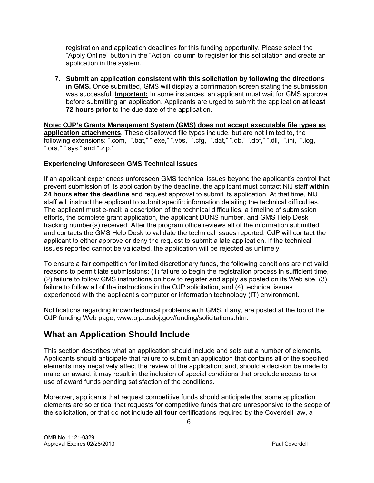registration and application deadlines for this funding opportunity. Please select the "Apply Online" button in the "Action" column to register for this solicitation and create an application in the system.

7. **Submit an application consistent with this solicitation by following the directions in GMS.** Once submitted, GMS will display a confirmation screen stating the submission was successful. **Important:** In some instances, an applicant must wait for GMS approval before submitting an application. Applicants are urged to submit the application **at least 72 hours prior** to the due date of the application.

**Note: OJP's Grants Management System (GMS) does not accept executable file types as application attachments**. These disallowed file types include, but are not limited to, the following extensions: ".com," ".bat," ".exe," ".vbs," ".cfg," ".dat," ".db," ".dbf," ".dll," ".ini," ".log," ".ora," ".sys," and ".zip."

#### **Experiencing Unforeseen GMS Technical Issues**

If an applicant experiences unforeseen GMS technical issues beyond the applicant's control that prevent submission of its application by the deadline, the applicant must contact NIJ staff **within 24 hours after the deadline** and request approval to submit its application. At that time, NIJ staff will instruct the applicant to submit specific information detailing the technical difficulties. The applicant must e-mail: a description of the technical difficulties, a timeline of submission efforts, the complete grant application, the applicant DUNS number, and GMS Help Desk tracking number(s) received. After the program office reviews all of the information submitted, and contacts the GMS Help Desk to validate the technical issues reported, OJP will contact the applicant to either approve or deny the request to submit a late application. If the technical issues reported cannot be validated, the application will be rejected as untimely.

To ensure a fair competition for limited discretionary funds, the following conditions are not valid reasons to permit late submissions: (1) failure to begin the registration process in sufficient time, (2) failure to follow GMS instructions on how to register and apply as posted on its Web site, (3) failure to follow all of the instructions in the OJP solicitation, and (4) technical issues experienced with the applicant's computer or information technology (IT) environment.

Notifications regarding known technical problems with GMS, if any, are posted at the top of the OJP funding Web page, [www.ojp.usdoj.gov/funding/solicitations.htm](http://www.ojp.usdoj.gov/funding/solicitations.htm).

## **What an Application Should Include**

This section describes what an application should include and sets out a number of elements. Applicants should anticipate that failure to submit an application that contains all of the specified elements may negatively affect the review of the application; and, should a decision be made to make an award, it may result in the inclusion of special conditions that preclude access to or use of award funds pending satisfaction of the conditions.

Moreover, applicants that request competitive funds should anticipate that some application elements are so critical that requests for competitive funds that are unresponsive to the scope of the solicitation, or that do not include **all four** certifications required by the Coverdell law, a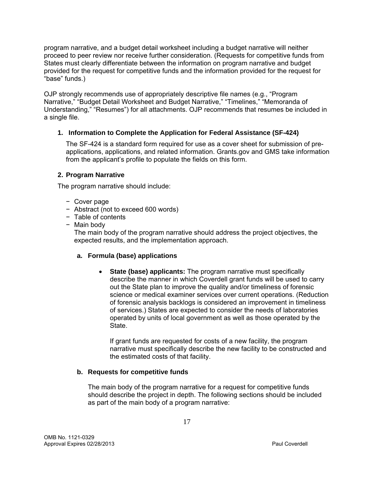program narrative, and a budget detail worksheet including a budget narrative will neither proceed to peer review nor receive further consideration. (Requests for competitive funds from States must clearly differentiate between the information on program narrative and budget provided for the request for competitive funds and the information provided for the request for "base" funds.)

OJP strongly recommends use of appropriately descriptive file names (e.g., "Program Narrative," "Budget Detail Worksheet and Budget Narrative," "Timelines," "Memoranda of Understanding," "Resumes") for all attachments. OJP recommends that resumes be included in a single file.

#### **1. Information to Complete the Application for Federal Assistance (SF-424)**

The SF-424 is a standard form required for use as a cover sheet for submission of preapplications, applications, and related information. Grants.gov and GMS take information from the applicant's profile to populate the fields on this form.

#### **2. Program Narrative**

The program narrative should include:

- − Cover page
- − Abstract (not to exceed 600 words)
- − Table of contents
- − Main body

The main body of the program narrative should address the project objectives, the expected results, and the implementation approach.

#### **a. Formula (base) applications**

• **State (base) applicants:** The program narrative must specifically describe the manner in which Coverdell grant funds will be used to carry out the State plan to improve the quality and/or timeliness of forensic science or medical examiner services over current operations. (Reduction of forensic analysis backlogs is considered an improvement in timeliness of services.) States are expected to consider the needs of laboratories operated by units of local government as well as those operated by the State.

If grant funds are requested for costs of a new facility, the program narrative must specifically describe the new facility to be constructed and the estimated costs of that facility.

#### **b. Requests for competitive funds**

The main body of the program narrative for a request for competitive funds should describe the project in depth. The following sections should be included as part of the main body of a program narrative: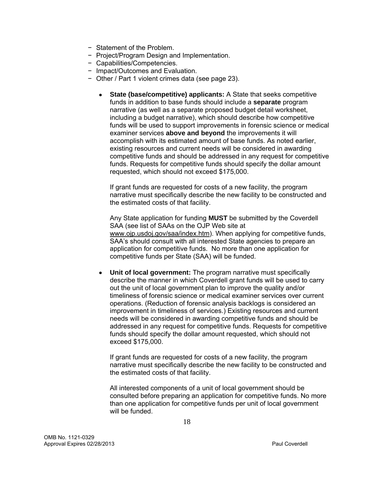- − Statement of the Problem.
- − Project/Program Design and Implementation.
- − Capabilities/Competencies.
- − Impact/Outcomes and Evaluation.
- − Other / Part 1 violent crimes data (see page 23).
	- **State (base/competitive) applicants:** A State that seeks competitive funds in addition to base funds should include a **separate** program narrative (as well as a separate proposed budget detail worksheet, including a budget narrative), which should describe how competitive funds will be used to support improvements in forensic science or medical examiner services **above and beyond** the improvements it will accomplish with its estimated amount of base funds. As noted earlier, existing resources and current needs will be considered in awarding competitive funds and should be addressed in any request for competitive funds. Requests for competitive funds should specify the dollar amount requested, which should not exceed \$175,000.

If grant funds are requested for costs of a new facility, the program narrative must specifically describe the new facility to be constructed and the estimated costs of that facility.

Any State application for funding **MUST** be submitted by the Coverdell SAA (see list of SAAs on the OJP Web site at [www.ojp.usdoj.gov/saa/index.htm](http://www.ojp.usdoj.gov/saa/index.htm)). When applying for competitive funds, SAA's should consult with all interested State agencies to prepare an application for competitive funds. No more than one application for competitive funds per State (SAA) will be funded.

• **Unit of local government:** The program narrative must specifically describe the manner in which Coverdell grant funds will be used to carry out the unit of local government plan to improve the quality and/or timeliness of forensic science or medical examiner services over current operations. (Reduction of forensic analysis backlogs is considered an improvement in timeliness of services.) Existing resources and current needs will be considered in awarding competitive funds and should be addressed in any request for competitive funds. Requests for competitive funds should specify the dollar amount requested, which should not exceed \$175,000.

If grant funds are requested for costs of a new facility, the program narrative must specifically describe the new facility to be constructed and the estimated costs of that facility.

All interested components of a unit of local government should be consulted before preparing an application for competitive funds. No more than one application for competitive funds per unit of local government will be funded.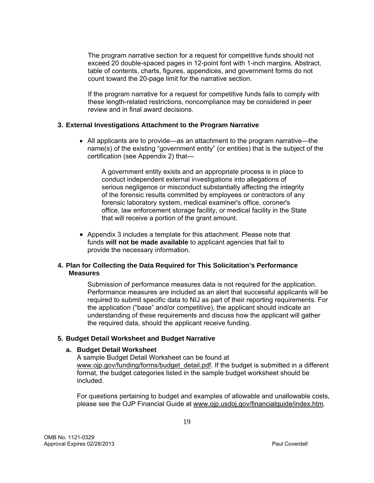The program narrative section for a request for competitive funds should not exceed 20 double-spaced pages in 12-point font with 1-inch margins. Abstract, table of contents, charts, figures, appendices, and government forms do not count toward the 20-page limit for the narrative section.

If the program narrative for a request for competitive funds fails to comply with these length-related restrictions, noncompliance may be considered in peer review and in final award decisions.

#### **3. External Investigations Attachment to the Program Narrative**

• All applicants are to provide—as an attachment to the program narrative—the name(s) of the existing "government entity" (or entities) that is the subject of the certification (see Appendix 2) that—

A government entity exists and an appropriate process is in place to conduct independent external investigations into allegations of serious negligence or misconduct substantially affecting the integrity of the forensic results committed by employees or contractors of any forensic laboratory system, medical examiner's office, coroner's office, law enforcement storage facility, or medical facility in the State that will receive a portion of the grant amount.

• Appendix 3 includes a template for this attachment. Please note that funds **will not be made available** to applicant agencies that fail to provide the necessary information.

#### **4. Plan for Collecting the Data Required for This Solicitation's Performance Measures**

Submission of performance measures data is not required for the application. Performance measures are included as an alert that successful applicants will be required to submit specific data to NIJ as part of their reporting requirements. For the application ("base" and/or competitive), the applicant should indicate an understanding of these requirements and discuss how the applicant will gather the required data, should the applicant receive funding.

#### **5. Budget Detail Worksheet and Budget Narrative**

#### **a. Budget Detail Worksheet**

A sample Budget Detail Worksheet can be found at [www.ojp.gov/funding/forms/budget\\_detail.pdf.](http://www.ojp.gov/funding/forms/budget_detail.pdf) If the budget is submitted in a different format, the budget categories listed in the sample budget worksheet should be included.

For questions pertaining to budget and examples of allowable and unallowable costs, please see the OJP Financial Guide at [www.ojp.usdoj.gov/financialguide/index.htm](http://www.ojp.usdoj.gov/financialguide/index.htm)*.*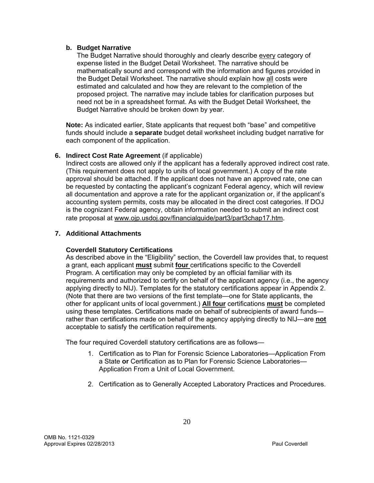#### **b. Budget Narrative**

The Budget Narrative should thoroughly and clearly describe every category of expense listed in the Budget Detail Worksheet. The narrative should be mathematically sound and correspond with the information and figures provided in the Budget Detail Worksheet. The narrative should explain how all costs were estimated and calculated and how they are relevant to the completion of the proposed project. The narrative may include tables for clarification purposes but need not be in a spreadsheet format. As with the Budget Detail Worksheet, the Budget Narrative should be broken down by year.

**Note:** As indicated earlier, State applicants that request both "base" and competitive funds should include a **separate** budget detail worksheet including budget narrative for each component of the application.

#### **6. Indirect Cost Rate Agreement** (if applicable)

Indirect costs are allowed only if the applicant has a federally approved indirect cost rate. (This requirement does not apply to units of local government.) A copy of the rate approval should be attached. If the applicant does not have an approved rate, one can be requested by contacting the applicant's cognizant Federal agency, which will review all documentation and approve a rate for the applicant organization or, if the applicant's accounting system permits, costs may be allocated in the direct cost categories. If DOJ is the cognizant Federal agency, obtain information needed to submit an indirect cost rate proposal at [www.ojp.usdoj.gov/financialguide/part3/part3chap17.htm](http://www.ojp.usdoj.gov/financialguide/part3/part3chap17.htm).

#### **7. Additional Attachments**

#### **Coverdell Statutory Certifications**

As described above in the "Eligibility" section, the Coverdell law provides that, to request a grant, each applicant **must** submit **four** certifications specific to the Coverdell Program. A certification may only be completed by an official familiar with its requirements and authorized to certify on behalf of the applicant agency (i.e., the agency applying directly to NIJ). Templates for the statutory certifications appear in Appendix 2. (Note that there are two versions of the first template—one for State applicants, the other for applicant units of local government.) **All four** certifications **must** be completed using these templates. Certifications made on behalf of subrecipients of award funds rather than certifications made on behalf of the agency applying directly to NIJ—are **not** acceptable to satisfy the certification requirements.

The four required Coverdell statutory certifications are as follows—

- 1. Certification as to Plan for Forensic Science Laboratories—Application From a State **or** Certification as to Plan for Forensic Science Laboratories— Application From a Unit of Local Government.
- 2. Certification as to Generally Accepted Laboratory Practices and Procedures.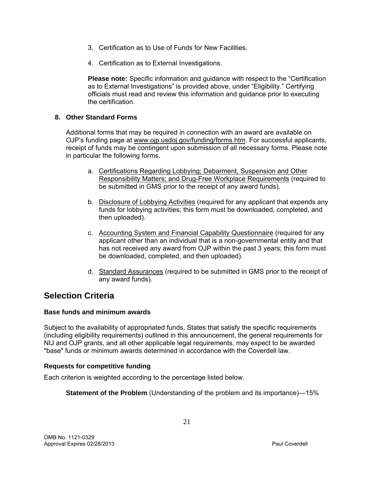- 3. Certification as to Use of Funds for New Facilities.
- 4. Certification as to External Investigations.

**Please note:** Specific information and guidance with respect to the "Certification as to External Investigations" is provided above, under "Eligibility." Certifying officials must read and review this information and guidance prior to executing the certification.

#### **8. Other Standard Forms**

Additional forms that may be required in connection with an award are available on OJP's funding page at [www.ojp.usdoj.gov/funding/forms.htm](http://www.ojp.usdoj.gov/funding/forms.htm). For successful applicants, receipt of funds may be contingent upon submission of all necessary forms. Please note in particular the following forms.

- a. [Certifications Regarding Lobbying; Debarment, Suspension and Other](http://www.ojp.usdoj.gov/funding/forms/certifications.pdf) [Responsibility Matters; and Drug-Free Workplace Requirements](http://www.ojp.usdoj.gov/funding/forms/certifications.pdf) (required to be submitted in GMS prior to the receipt of any award funds).
- b. [Disclosure of Lobbying Activities](http://www.ojp.usdoj.gov/funding/forms/disclosure.pdf) (required for any applicant that expends any funds for lobbying activities; this form must be downloaded, completed, and then uploaded).
- c. [Accounting System and Financial Capability Questionnaire](http://www.ojp.usdoj.gov/funding/forms/financial_capability.pdf) (required for any applicant other than an individual that is a non-governmental entity and that has not received any award from OJP within the past 3 years; this form must be downloaded, completed, and then uploaded).
- d. [Standard Assurances](http://www.ojp.usdoj.gov/funding/forms/std_assurances.pdf) (required to be submitted in GMS prior to the receipt of any award funds).

## **Selection Criteria**

#### **Base funds and minimum awards**

Subject to the availability of appropriated funds, States that satisfy the specific requirements (including eligibility requirements) outlined in this announcement, the general requirements for NIJ and OJP grants, and all other applicable legal requirements, may expect to be awarded "base" funds or minimum awards determined in accordance with the Coverdell law.

#### **Requests for competitive funding**

Each criterion is weighted according to the percentage listed below.

**Statement of the Problem** (Understanding of the problem and its importance)—15%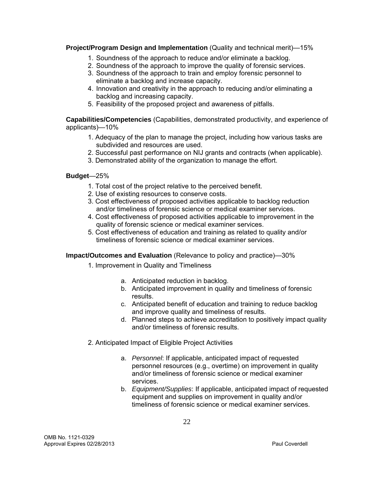**Project/Program Design and Implementation** (Quality and technical merit)—15%

- 1. Soundness of the approach to reduce and/or eliminate a backlog.
- 2. Soundness of the approach to improve the quality of forensic services.
- 3. Soundness of the approach to train and employ forensic personnel to eliminate a backlog and increase capacity.
- 4. Innovation and creativity in the approach to reducing and/or eliminating a backlog and increasing capacity.
- 5. Feasibility of the proposed project and awareness of pitfalls.

**Capabilities/Competencies** (Capabilities, demonstrated productivity, and experience of applicants)—10%

- 1. Adequacy of the plan to manage the project, including how various tasks are subdivided and resources are used.
- 2. Successful past performance on NIJ grants and contracts (when applicable).
- 3. Demonstrated ability of the organization to manage the effort.

#### **Budget**—25%

- 1. Total cost of the project relative to the perceived benefit.
- 2. Use of existing resources to conserve costs.
- 3. Cost effectiveness of proposed activities applicable to backlog reduction and/or timeliness of forensic science or medical examiner services.
- 4. Cost effectiveness of proposed activities applicable to improvement in the quality of forensic science or medical examiner services.
- 5. Cost effectiveness of education and training as related to quality and/or timeliness of forensic science or medical examiner services.

**Impact/Outcomes and Evaluation** (Relevance to policy and practice)—30%

- 1. Improvement in Quality and Timeliness
	- a. Anticipated reduction in backlog.
	- b. Anticipated improvement in quality and timeliness of forensic results.
	- c. Anticipated benefit of education and training to reduce backlog and improve quality and timeliness of results.
	- d. Planned steps to achieve accreditation to positively impact quality and/or timeliness of forensic results.
- 2. Anticipated Impact of Eligible Project Activities
	- a. *Personnel*: If applicable, anticipated impact of requested personnel resources (e.g., overtime) on improvement in quality and/or timeliness of forensic science or medical examiner services.
	- b. *Equipment/Supplies*: If applicable, anticipated impact of requested equipment and supplies on improvement in quality and/or timeliness of forensic science or medical examiner services.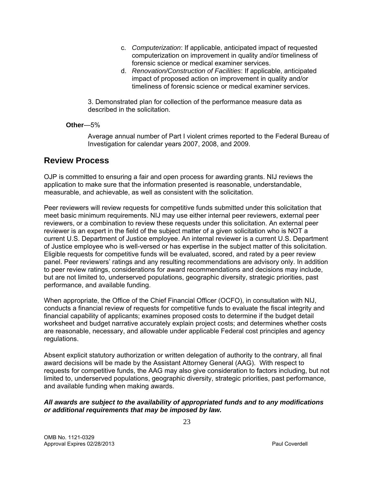- c. *Computerization*: If applicable, anticipated impact of requested computerization on improvement in quality and/or timeliness of forensic science or medical examiner services.
- d. *Renovation/Construction of Facilities*: If applicable, anticipated impact of proposed action on improvement in quality and/or timeliness of forensic science or medical examiner services.

 3. Demonstrated plan for collection of the performance measure data as described in the solicitation.

**Other**—5%

Average annual number of Part I violent crimes reported to the Federal Bureau of Investigation for calendar years 2007, 2008, and 2009.

### **Review Process**

OJP is committed to ensuring a fair and open process for awarding grants. NIJ reviews the application to make sure that the information presented is reasonable, understandable, measurable, and achievable, as well as consistent with the solicitation.

Peer reviewers will review requests for competitive funds submitted under this solicitation that meet basic minimum requirements. NIJ may use either internal peer reviewers, external peer reviewers, or a combination to review these requests under this solicitation. An external peer reviewer is an expert in the field of the subject matter of a given solicitation who is NOT a current U.S. Department of Justice employee. An internal reviewer is a current U.S. Department of Justice employee who is well-versed or has expertise in the subject matter of this solicitation. Eligible requests for competitive funds will be evaluated, scored, and rated by a peer review panel. Peer reviewers' ratings and any resulting recommendations are advisory only. In addition to peer review ratings, considerations for award recommendations and decisions may include, but are not limited to, underserved populations, geographic diversity, strategic priorities, past performance, and available funding.

When appropriate, the Office of the Chief Financial Officer (OCFO), in consultation with NIJ, conducts a financial review of requests for competitive funds to evaluate the fiscal integrity and financial capability of applicants; examines proposed costs to determine if the budget detail worksheet and budget narrative accurately explain project costs; and determines whether costs are reasonable, necessary, and allowable under applicable Federal cost principles and agency regulations.

Absent explicit statutory authorization or written delegation of authority to the contrary, all final award decisions will be made by the Assistant Attorney General (AAG). With respect to requests for competitive funds, the AAG may also give consideration to factors including, but not limited to, underserved populations, geographic diversity, strategic priorities, past performance, and available funding when making awards.

#### *All awards are subject to the availability of appropriated funds and to any modifications or additional requirements that may be imposed by law.*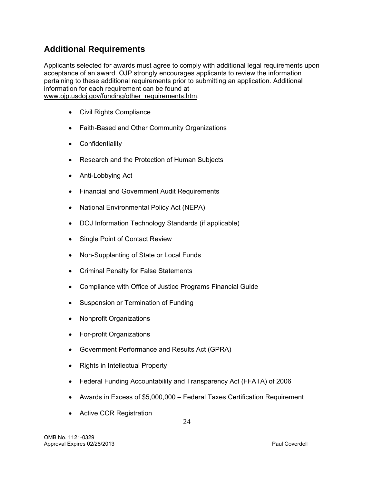# **Additional Requirements**

Applicants selected for awards must agree to comply with additional legal requirements upon acceptance of an award. OJP strongly encourages applicants to review the information pertaining to these additional requirements prior to submitting an application. Additional information for each requirement can be found at [www.ojp.usdoj.gov/funding/other\\_requirements.htm.](http://www.ojp.usdoj.gov/funding/other_requirements.htm)

- [Civil Rights Compliance](http://www.ojp.usdoj.gov/about/ocr/statutes.htm)
- Faith-Based and Other Community Organizations
- Confidentiality
- Research and the Protection of Human Subjects
- Anti-Lobbying Act
- Financial and Government Audit Requirements
- National Environmental Policy Act (NEPA)
- DOJ Information Technology Standards (if applicable)
- Single Point of Contact Review
- Non-Supplanting of State or Local Funds
- Criminal Penalty for False Statements
- Compliance with [Office of Justice Programs Financial Guide](http://www.ojp.usdoj.gov/financialguide/index.htm)
- Suspension or Termination of Funding
- Nonprofit Organizations
- For-profit Organizations
- Government Performance and Results Act (GPRA)
- Rights in Intellectual Property
- Federal Funding Accountability and Transparency Act (FFATA) of 2006
- Awards in Excess of \$5,000,000 Federal Taxes Certification Requirement
- Active CCR Registration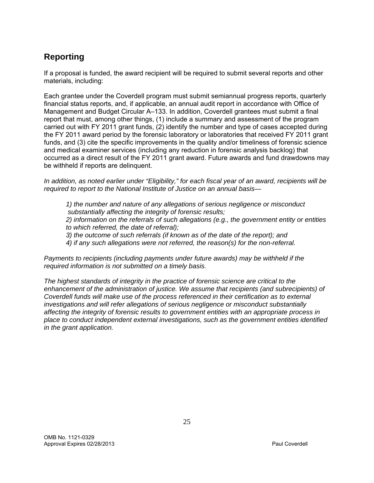# **Reporting**

If a proposal is funded, the award recipient will be required to submit several reports and other materials, including:

Each grantee under the Coverdell program must submit semiannual progress reports, quarterly financial status reports, and, if applicable, an annual audit report in accordance with Office of Management and Budget Circular A–133. In addition, Coverdell grantees must submit a final report that must, among other things, (1) include a summary and assessment of the program carried out with FY 2011 grant funds, (2) identify the number and type of cases accepted during the FY 2011 award period by the forensic laboratory or laboratories that received FY 2011 grant funds, and (3) cite the specific improvements in the quality and/or timeliness of forensic science and medical examiner services (including any reduction in forensic analysis backlog) that occurred as a direct result of the FY 2011 grant award. Future awards and fund drawdowns may be withheld if reports are delinquent.

*In addition, as noted earlier under "Eligibility," for each fiscal year of an award, recipients will be required to report to the National Institute of Justice on an annual basis—* 

*1) the number and nature of any allegations of serious negligence or misconduct substantially affecting the integrity of forensic results;* 

*2) information on the referrals of such allegations (e.g., the government entity or entities to which referred, the date of referral);* 

 *3) the outcome of such referrals (if known as of the date of the report); and* 

 *4) if any such allegations were not referred, the reason(s) for the non-referral.* 

*Payments to recipients (including payments under future awards) may be withheld if the required information is not submitted on a timely basis.* 

*The highest standards of integrity in the practice of forensic science are critical to the enhancement of the administration of justice. We assume that recipients (and subrecipients) of Coverdell funds will make use of the process referenced in their certification as to external investigations and will refer allegations of serious negligence or misconduct substantially affecting the integrity of forensic results to government entities with an appropriate process in place to conduct independent external investigations, such as the government entities identified in the grant application.*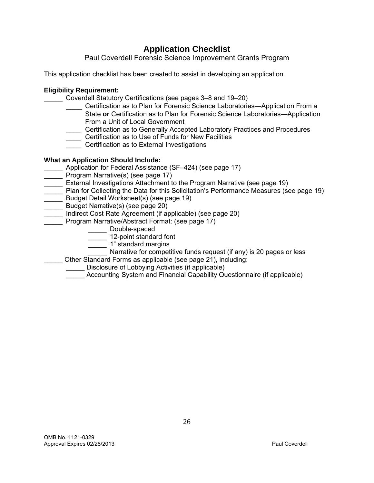### **Application Checklist**

Paul Coverdell Forensic Science Improvement Grants Program

This application checklist has been created to assist in developing an application.

#### **Eligibility Requirement:**

\_\_\_\_\_ Coverdell Statutory Certifications (see pages 3–8 and 19–20)

- \_\_\_\_ Certification as to Plan for Forensic Science Laboratories—Application From a State **or** Certification as to Plan for Forensic Science Laboratories—Application From a Unit of Local Government
- \_\_\_\_ Certification as to Generally Accepted Laboratory Practices and Procedures
- \_\_\_\_ Certification as to Use of Funds for New Facilities
- \_\_\_\_ Certification as to External Investigations

#### **What an Application Should Include:**

- Application for Federal Assistance (SF–424) (see page 17)
- Program Narrative(s) (see page 17)
- $\equiv$  External Investigations Attachment to the Program Narrative (see page 19)
- \_\_\_\_\_ Plan for Collecting the Data for this Solicitation's Performance Measures (see page 19)
- \_\_\_\_\_ Budget Detail Worksheet(s) (see page 19)
- \_\_\_\_\_ Budget Narrative(s) (see page 20)
- \_\_\_\_\_ Indirect Cost Rate Agreement (if applicable) (see page 20)
- \_\_\_\_\_ Program Narrative/Abstract Format: (see page 17)
	- \_\_\_\_\_ Double-spaced
	- \_\_\_\_\_ 12-point standard font
	- 1" standard margins

Narrative for competitive funds request (if any) is 20 pages or less

- Other Standard Forms as applicable (see page 21), including:
- Disclosure of Lobbying Activities (if applicable)
	- Accounting System and Financial Capability Questionnaire (if applicable)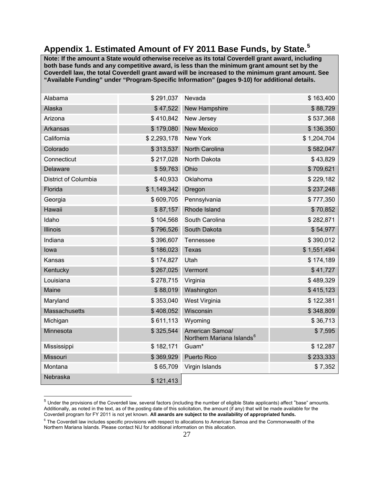# **Appendix 1. Estimated Amount of FY 2011 Base Funds, by State.[5](#page-26-0)**

**Note: If the amount a State would otherwise receive as its total Coverdell grant award, including both base funds and any competitive award, is less than the minimum grant amount set by the Coverdell law, the total Coverdell grant award will be increased to the minimum grant amount. See "Available Funding" under "Program-Specific Information" (pages 9-10) for additional details.** 

| Alabama              | \$291,037   | Nevada                                                   | \$163,400   |
|----------------------|-------------|----------------------------------------------------------|-------------|
| Alaska               | \$47,522    | <b>New Hampshire</b>                                     | \$88,729    |
| Arizona              | \$410,842   | New Jersey                                               | \$537,368   |
| Arkansas             | \$179,080   | <b>New Mexico</b>                                        | \$136,350   |
| California           | \$2,293,178 | New York                                                 | \$1,204,704 |
| Colorado             | \$313,537   | North Carolina                                           | \$582,047   |
| Connecticut          | \$217,028   | North Dakota                                             | \$43,829    |
| Delaware             | \$59,763    | Ohio                                                     | \$709,621   |
| District of Columbia | \$40,933    | Oklahoma                                                 | \$229,182   |
| Florida              | \$1,149,342 | Oregon                                                   | \$237,248   |
| Georgia              | \$609,705   | Pennsylvania                                             | \$777,350   |
| Hawaii               | \$87,157    | Rhode Island                                             | \$70,852    |
| Idaho                | \$104,568   | South Carolina                                           | \$282,871   |
| <b>Illinois</b>      | \$796,526   | South Dakota                                             | \$54,977    |
| Indiana              | \$396,607   | Tennessee                                                | \$390,012   |
| lowa                 | \$186,023   | Texas                                                    | \$1,551,494 |
| Kansas               | \$174,827   | Utah                                                     | \$174,189   |
| Kentucky             | \$267,025   | Vermont                                                  | \$41,727    |
| Louisiana            | \$278,715   | Virginia                                                 | \$489,329   |
| Maine                | \$88,019    | Washington                                               | \$415,123   |
| Maryland             | \$353,040   | West Virginia                                            | \$122,381   |
| Massachusetts        | \$408,052   | Wisconsin                                                | \$348,809   |
| Michigan             | \$611,113   | Wyoming                                                  | \$36,713    |
| Minnesota            | \$325,544   | American Samoa/<br>Northern Mariana Islands <sup>6</sup> | \$7,595     |
| Mississippi          | \$182,171   | Guam*                                                    | \$12,287    |
| Missouri             | \$369,929   | Puerto Rico                                              | \$233,333   |
| Montana              | \$65,709    | Virgin Islands                                           | \$7,352     |
| Nebraska             | \$121,413   |                                                          |             |

<span id="page-26-0"></span> $^5$  Under the provisions of the Coverdell law, several factors (including the number of eligible State applicants) affect "base" amounts. Additionally, as noted in the text, as of the posting date of this solicitation, the amount (if any) that will be made available for the Coverdell program for FY 2011 is not yet known. **All awards are subject to the availability of appropriated funds.**

 $\overline{a}$ 

<span id="page-26-1"></span><sup>&</sup>lt;sup>6</sup> The Coverdell law includes specific provisions with respect to allocations to American Samoa and the Commonwealth of the Northern Mariana Islands. Please contact NIJ for additional information on this allocation.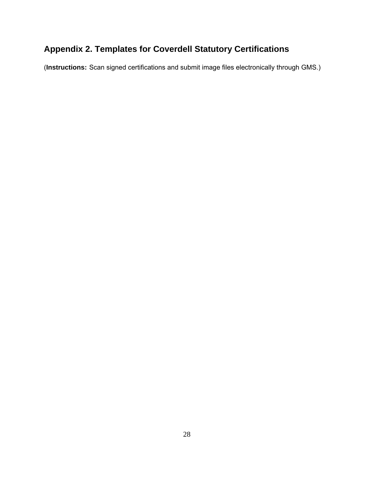# **Appendix 2. Templates for Coverdell Statutory Certifications**

(**Instructions:** Scan signed certifications and submit image files electronically through GMS.)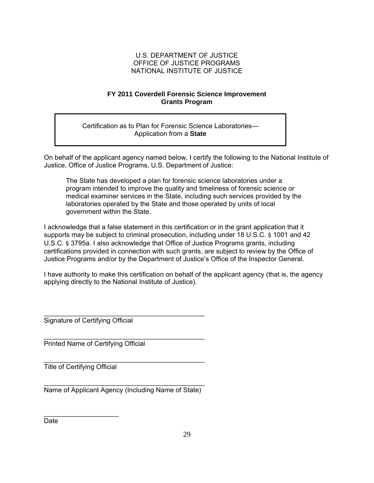#### **FY 2011 Coverdell Forensic Science Improvement Grants Program**

Certification as to Plan for Forensic Science Laboratories— Application from a **State** 

On behalf of the applicant agency named below, I certify the following to the National Institute of Justice, Office of Justice Programs, U.S. Department of Justice:

The State has developed a plan for forensic science laboratories under a program intended to improve the quality and timeliness of forensic science or medical examiner services in the State, including such services provided by the laboratories operated by the State and those operated by units of local government within the State.

I acknowledge that a false statement in this certification or in the grant application that it supports may be subject to criminal prosecution, including under 18 U.S.C. § 1001 and 42 U.S.C. § 3795a. I also acknowledge that Office of Justice Programs grants, including certifications provided in connection with such grants, are subject to review by the Office of Justice Programs and/or by the Department of Justice's Office of the Inspector General.

I have authority to make this certification on behalf of the applicant agency (that is, the agency applying directly to the National Institute of Justice).

Signature of Certifying Official

Printed Name of Certifying Official

\_\_\_\_\_\_\_\_\_\_\_\_\_\_\_\_\_\_\_\_\_\_\_\_\_\_\_\_\_\_\_\_\_\_\_\_\_\_\_\_\_\_\_ Title of Certifying Official

 $\overline{\phantom{a}}$  , which is a set of the set of the set of the set of the set of the set of the set of the set of the set of the set of the set of the set of the set of the set of the set of the set of the set of the set of th

\_\_\_\_\_\_\_\_\_\_\_\_\_\_\_\_\_\_\_\_\_\_\_\_\_\_\_\_\_\_\_\_\_\_\_\_\_\_\_\_\_\_\_ Name of Applicant Agency (Including Name of State)

\_\_\_\_\_\_\_\_\_\_\_\_\_\_\_\_\_\_\_\_\_\_\_\_\_\_\_\_\_\_\_\_\_\_\_\_\_\_\_\_\_\_\_

\_\_\_\_\_\_\_\_\_\_\_\_\_\_\_\_\_\_\_\_\_\_\_\_\_\_\_\_\_\_\_\_\_\_\_\_\_\_\_\_\_\_\_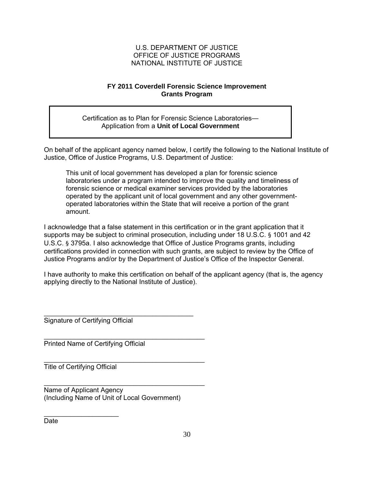#### **FY 2011 Coverdell Forensic Science Improvement Grants Program**

Certification as to Plan for Forensic Science Laboratories— Application from a **Unit of Local Government**

On behalf of the applicant agency named below, I certify the following to the National Institute of Justice, Office of Justice Programs, U.S. Department of Justice:

This unit of local government has developed a plan for forensic science laboratories under a program intended to improve the quality and timeliness of forensic science or medical examiner services provided by the laboratories operated by the applicant unit of local government and any other governmentoperated laboratories within the State that will receive a portion of the grant amount.

I acknowledge that a false statement in this certification or in the grant application that it supports may be subject to criminal prosecution, including under 18 U.S.C. § 1001 and 42 U.S.C. § 3795a. I also acknowledge that Office of Justice Programs grants, including certifications provided in connection with such grants, are subject to review by the Office of Justice Programs and/or by the Department of Justice's Office of the Inspector General.

I have authority to make this certification on behalf of the applicant agency (that is, the agency applying directly to the National Institute of Justice).

Signature of Certifying Official

Printed Name of Certifying Official

\_\_\_\_\_\_\_\_\_\_\_\_\_\_\_\_\_\_\_\_\_\_\_\_\_\_\_\_\_\_\_\_\_\_\_\_\_\_\_\_\_\_\_ Title of Certifying Official

 $\overline{\phantom{a}}$  , which is a set of the set of the set of the set of the set of the set of the set of the set of the set of the set of the set of the set of the set of the set of the set of the set of the set of the set of th

\_\_\_\_\_\_\_\_\_\_\_\_\_\_\_\_\_\_\_\_\_\_\_\_\_\_\_\_\_\_\_\_\_\_\_\_\_\_\_\_\_\_\_ Name of Applicant Agency (Including Name of Unit of Local Government)

\_\_\_\_\_\_\_\_\_\_\_\_\_\_\_\_\_\_\_\_\_\_\_\_\_\_\_\_\_\_\_\_\_\_\_\_\_\_\_\_

\_\_\_\_\_\_\_\_\_\_\_\_\_\_\_\_\_\_\_\_\_\_\_\_\_\_\_\_\_\_\_\_\_\_\_\_\_\_\_\_\_\_\_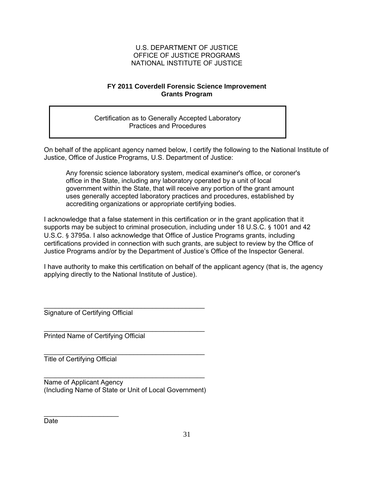#### **FY 2011 Coverdell Forensic Science Improvement Grants Program**

Certification as to Generally Accepted Laboratory Practices and Procedures

On behalf of the applicant agency named below, I certify the following to the National Institute of Justice, Office of Justice Programs, U.S. Department of Justice:

Any forensic science laboratory system, medical examiner's office, or coroner's office in the State, including any laboratory operated by a unit of local government within the State, that will receive any portion of the grant amount uses generally accepted laboratory practices and procedures, established by accrediting organizations or appropriate certifying bodies.

I acknowledge that a false statement in this certification or in the grant application that it supports may be subject to criminal prosecution, including under 18 U.S.C. § 1001 and 42 U.S.C. § 3795a. I also acknowledge that Office of Justice Programs grants, including certifications provided in connection with such grants, are subject to review by the Office of Justice Programs and/or by the Department of Justice's Office of the Inspector General.

I have authority to make this certification on behalf of the applicant agency (that is, the agency applying directly to the National Institute of Justice).

\_\_\_\_\_\_\_\_\_\_\_\_\_\_\_\_\_\_\_\_\_\_\_\_\_\_\_\_\_\_\_\_\_\_\_\_\_\_\_\_\_\_\_ Signature of Certifying Official

\_\_\_\_\_\_\_\_\_\_\_\_\_\_\_\_\_\_\_\_\_\_\_\_\_\_\_\_\_\_\_\_\_\_\_\_\_\_\_\_\_\_\_ Printed Name of Certifying Official

\_\_\_\_\_\_\_\_\_\_\_\_\_\_\_\_\_\_\_\_\_\_\_\_\_\_\_\_\_\_\_\_\_\_\_\_\_\_\_\_\_\_\_ Title of Certifying Official

 $\overline{\phantom{a}}$  , which is a set of the set of the set of the set of the set of the set of the set of the set of the set of the set of the set of the set of the set of the set of the set of the set of the set of the set of th

| Name of Applicant Agency                              |
|-------------------------------------------------------|
| (Including Name of State or Unit of Local Government) |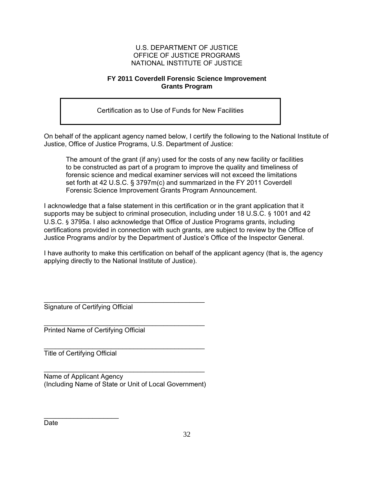#### **FY 2011 Coverdell Forensic Science Improvement Grants Program**

Certification as to Use of Funds for New Facilities

On behalf of the applicant agency named below, I certify the following to the National Institute of Justice, Office of Justice Programs, U.S. Department of Justice:

The amount of the grant (if any) used for the costs of any new facility or facilities to be constructed as part of a program to improve the quality and timeliness of forensic science and medical examiner services will not exceed the limitations set forth at 42 U.S.C. § 3797m(c) and summarized in the FY 2011 Coverdell Forensic Science Improvement Grants Program Announcement.

I acknowledge that a false statement in this certification or in the grant application that it supports may be subject to criminal prosecution, including under 18 U.S.C. § 1001 and 42 U.S.C. § 3795a. I also acknowledge that Office of Justice Programs grants, including certifications provided in connection with such grants, are subject to review by the Office of Justice Programs and/or by the Department of Justice's Office of the Inspector General.

I have authority to make this certification on behalf of the applicant agency (that is, the agency applying directly to the National Institute of Justice).

\_\_\_\_\_\_\_\_\_\_\_\_\_\_\_\_\_\_\_\_\_\_\_\_\_\_\_\_\_\_\_\_\_\_\_\_\_\_\_\_\_\_\_ Signature of Certifying Official

\_\_\_\_\_\_\_\_\_\_\_\_\_\_\_\_\_\_\_\_\_\_\_\_\_\_\_\_\_\_\_\_\_\_\_\_\_\_\_\_\_\_\_ Printed Name of Certifying Official

Title of Certifying Official

 $\overline{\phantom{a}}$  , which is a set of the set of the set of the set of the set of the set of the set of the set of the set of the set of the set of the set of the set of the set of the set of the set of the set of the set of th

\_\_\_\_\_\_\_\_\_\_\_\_\_\_\_\_\_\_\_\_\_\_\_\_\_\_\_\_\_\_\_\_\_\_\_\_\_\_\_\_\_\_\_ Name of Applicant Agency (Including Name of State or Unit of Local Government)

\_\_\_\_\_\_\_\_\_\_\_\_\_\_\_\_\_\_\_\_\_\_\_\_\_\_\_\_\_\_\_\_\_\_\_\_\_\_\_\_\_\_\_

Date<sub>.</sub>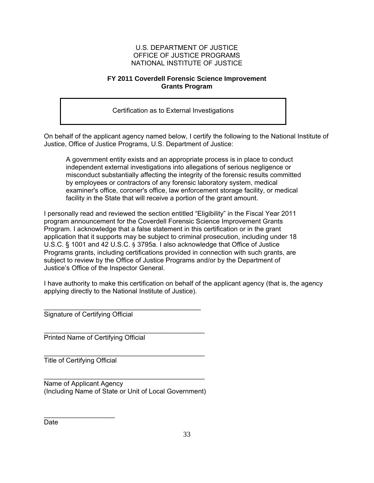#### **FY 2011 Coverdell Forensic Science Improvement Grants Program**

Certification as to External Investigations

On behalf of the applicant agency named below, I certify the following to the National Institute of Justice, Office of Justice Programs, U.S. Department of Justice:

A government entity exists and an appropriate process is in place to conduct independent external investigations into allegations of serious negligence or misconduct substantially affecting the integrity of the forensic results committed by employees or contractors of any forensic laboratory system, medical examiner's office, coroner's office, law enforcement storage facility, or medical facility in the State that will receive a portion of the grant amount.

I personally read and reviewed the section entitled "Eligibility" in the Fiscal Year 2011 program announcement for the Coverdell Forensic Science Improvement Grants Program. I acknowledge that a false statement in this certification or in the grant application that it supports may be subject to criminal prosecution, including under 18 U.S.C. § 1001 and 42 U.S.C. § 3795a. I also acknowledge that Office of Justice Programs grants, including certifications provided in connection with such grants, are subject to review by the Office of Justice Programs and/or by the Department of Justice's Office of the Inspector General.

I have authority to make this certification on behalf of the applicant agency (that is, the agency applying directly to the National Institute of Justice).

 $\frac{1}{2}$  ,  $\frac{1}{2}$  ,  $\frac{1}{2}$  ,  $\frac{1}{2}$  ,  $\frac{1}{2}$  ,  $\frac{1}{2}$  ,  $\frac{1}{2}$  ,  $\frac{1}{2}$  ,  $\frac{1}{2}$  ,  $\frac{1}{2}$  ,  $\frac{1}{2}$  ,  $\frac{1}{2}$  ,  $\frac{1}{2}$  ,  $\frac{1}{2}$  ,  $\frac{1}{2}$  ,  $\frac{1}{2}$  ,  $\frac{1}{2}$  ,  $\frac{1}{2}$  ,  $\frac{1$ Signature of Certifying Official

\_\_\_\_\_\_\_\_\_\_\_\_\_\_\_\_\_\_\_\_\_\_\_\_\_\_\_\_\_\_\_\_\_\_\_\_\_\_\_\_\_\_\_ Printed Name of Certifying Official

\_\_\_\_\_\_\_\_\_\_\_\_\_\_\_\_\_\_\_\_\_\_\_\_\_\_\_\_\_\_\_\_\_\_\_\_\_\_\_\_\_\_\_ Title of Certifying Official

 $\overline{\phantom{a}}$  . The set of the set of the set of the set of the set of the set of the set of the set of the set of the set of the set of the set of the set of the set of the set of the set of the set of the set of the set o

\_\_\_\_\_\_\_\_\_\_\_\_\_\_\_\_\_\_\_\_\_\_\_\_\_\_\_\_\_\_\_\_\_\_\_\_\_\_\_\_\_\_\_ Name of Applicant Agency (Including Name of State or Unit of Local Government)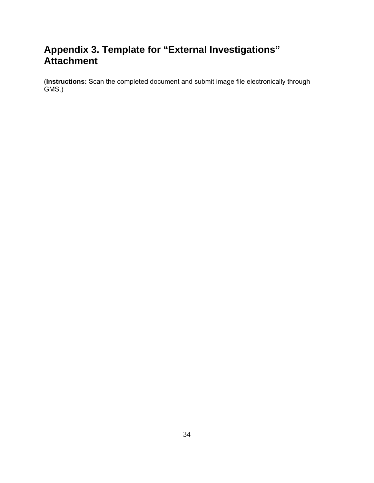# **Appendix 3. Template for "External Investigations" Attachment**

(**Instructions:** Scan the completed document and submit image file electronically through GMS.)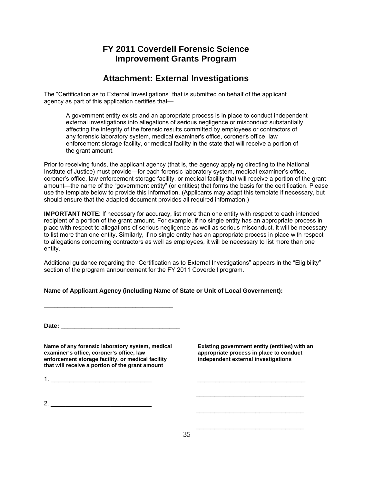### **FY 2011 Coverdell Forensic Science Improvement Grants Program**

### **Attachment: External Investigations**

The "Certification as to External Investigations" that is submitted on behalf of the applicant agency as part of this application certifies that—

A government entity exists and an appropriate process is in place to conduct independent external investigations into allegations of serious negligence or misconduct substantially affecting the integrity of the forensic results committed by employees or contractors of any forensic laboratory system, medical examiner's office, coroner's office, law enforcement storage facility, or medical facility in the state that will receive a portion of the grant amount.

Prior to receiving funds, the applicant agency (that is, the agency applying directing to the National Institute of Justice) must provide—for each forensic laboratory system, medical examiner's office, coroner's office, law enforcement storage facility, or medical facility that will receive a portion of the grant amount—the name of the "government entity" (or entities) that forms the basis for the certification. Please use the template below to provide this information. (Applicants may adapt this template if necessary, but should ensure that the adapted document provides all required information.)

**IMPORTANT NOTE**: If necessary for accuracy, list more than one entity with respect to each intended recipient of a portion of the grant amount. For example, if no single entity has an appropriate process in place with respect to allegations of serious negligence as well as serious misconduct, it will be necessary to list more than one entity. Similarly, if no single entity has an appropriate process in place with respect to allegations concerning contractors as well as employees, it will be necessary to list more than one entity.

Additional guidance regarding the "Certification as to External Investigations" appears in the "Eligibility" section of the program announcement for the FY 2011 Coverdell program.

----------------------------------------------------------------------------------------------------------------------------------------- **Name of Applicant Agency (including Name of State or Unit of Local Government):** 

**Date:** \_\_\_\_\_\_\_\_\_\_\_\_\_\_\_\_\_\_\_\_\_\_\_\_\_\_\_\_\_\_\_\_\_\_\_

**Name of any forensic laboratory system, medical examiner's office, coroner's office, law enforcement storage facility, or medical facility that will receive a portion of the grant amount** 

**\_\_\_\_\_\_\_\_\_\_\_\_\_\_\_\_\_\_\_\_\_\_\_\_\_\_\_\_\_\_\_\_\_\_\_\_\_\_**

**Existing government entity (entities) with an appropriate process in place to conduct independent external investigations** 

 $\mathcal{L}_\mathcal{L}$  , which is a set of the set of the set of the set of the set of the set of the set of the set of the set of the set of the set of the set of the set of the set of the set of the set of the set of the set of

\_\_\_\_\_\_\_\_\_\_\_\_\_\_\_\_\_\_\_\_\_\_\_\_\_\_\_\_\_

\_\_\_\_\_\_\_\_\_\_\_\_\_\_\_\_\_\_\_\_\_\_\_\_\_\_\_\_\_

\_\_\_\_\_\_\_\_\_\_\_\_\_\_\_\_\_\_\_\_\_\_\_\_\_\_\_\_\_

 $2.$ 

 $1.$